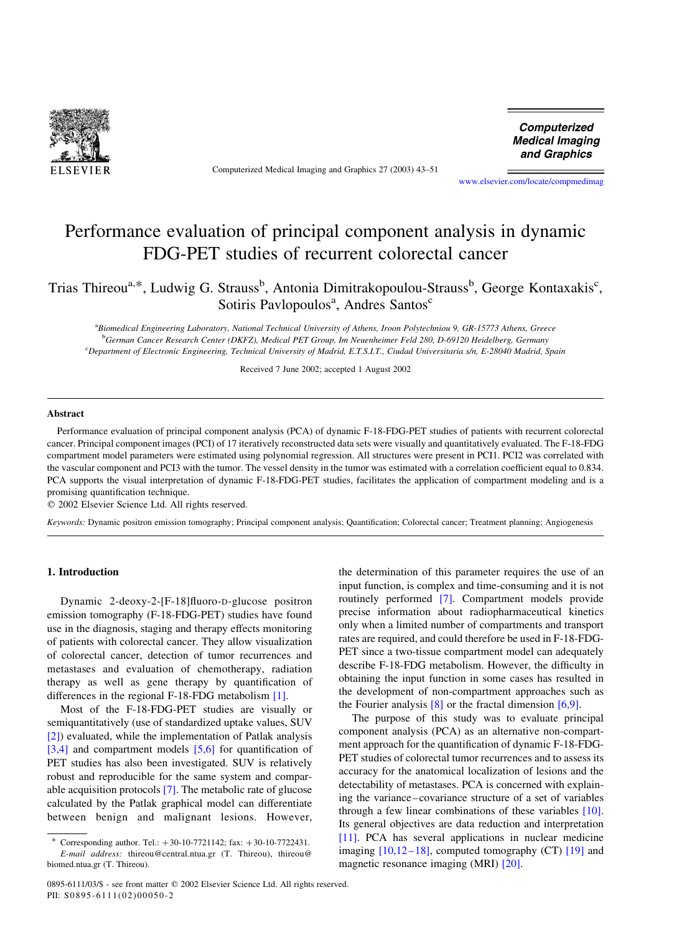

Computerized Medical Imaging and Graphics 27 (2003) 43–51

Computerized **Medical Imaging** and Graphics

[www.elsevier.com/locate/compmedimag](http://www.elsevier.com/locate/compmedimag)

# Performance evaluation of principal component analysis in dynamic FDG-PET studies of recurrent colorectal cancer

Trias Thireou<sup>a,\*</sup>, Ludwig G. Strauss<sup>b</sup>, Antonia Dimitrakopoulou-Strauss<sup>b</sup>, George Kontaxakis<sup>c</sup>, Sotiris Pavlopoulos<sup>a</sup>, Andres Santos<sup>c</sup>

a<br>
ABiomedical Engineering Laboratory, National Technical University of Athens, Iroon Polytechniou 9, GR-15773 Athens, Greece b German Cancer Research Center (DKFZ), Medical PET Group, Im Neuenheimer Feld 280, D-69120 Heidelberg, Germany c Department of Electronic Engineering, Technical University of Madrid, E.T.S.I.T., Ciudad Universitaria s/n, E-28040 Madrid, Spain

Received 7 June 2002; accepted 1 August 2002

#### Abstract

Performance evaluation of principal component analysis (PCA) of dynamic F-18-FDG-PET studies of patients with recurrent colorectal cancer. Principal component images (PCI) of 17 iteratively reconstructed data sets were visually and quantitatively evaluated. The F-18-FDG compartment model parameters were estimated using polynomial regression. All structures were present in PCI1. PCI2 was correlated with the vascular component and PCI3 with the tumor. The vessel density in the tumor was estimated with a correlation coefficient equal to 0.834. PCA supports the visual interpretation of dynamic F-18-FDG-PET studies, facilitates the application of compartment modeling and is a promising quantification technique.

 $© 2002 Elsevier Science Ltd. All rights reserved.$ 

Keywords: Dynamic positron emission tomography; Principal component analysis; Quantification; Colorectal cancer; Treatment planning; Angiogenesis

# 1. Introduction

Dynamic 2-deoxy-2-[F-18]fluoro-D-glucose positron emission tomography (F-18-FDG-PET) studies have found use in the diagnosis, staging and therapy effects monitoring of patients with colorectal cancer. They allow visualization of colorectal cancer, detection of tumor recurrences and metastases and evaluation of chemotherapy, radiation therapy as well as gene therapy by quantification of differences in the regional F-18-FDG metabolism [\[1\].](#page-6-0)

Most of the F-18-FDG-PET studies are visually or semiquantitatively (use of standardized uptake values, SUV [\[2\]](#page-6-0)) evaluated, while the implementation of Patlak analysis [\[3,4\]](#page-6-0) and compartment models [\[5,6\]](#page-6-0) for quantification of PET studies has also been investigated. SUV is relatively robust and reproducible for the same system and comparable acquisition protocols [\[7\].](#page-7-0) The metabolic rate of glucose calculated by the Patlak graphical model can differentiate between benign and malignant lesions. However,

the determination of this parameter requires the use of an input function, is complex and time-consuming and it is not routinely performed [\[7\]](#page-7-0). Compartment models provide precise information about radiopharmaceutical kinetics only when a limited number of compartments and transport rates are required, and could therefore be used in F-18-FDG-PET since a two-tissue compartment model can adequately describe F-18-FDG metabolism. However, the difficulty in obtaining the input function in some cases has resulted in the development of non-compartment approaches such as the Fourier analysis  $[8]$  or the fractal dimension  $[6,9]$ .

The purpose of this study was to evaluate principal component analysis (PCA) as an alternative non-compartment approach for the quantification of dynamic F-18-FDG-PET studies of colorectal tumor recurrences and to assess its accuracy for the anatomical localization of lesions and the detectability of metastases. PCA is concerned with explaining the variance–covariance structure of a set of variables through a few linear combinations of these variables [\[10\]](#page-7-0). Its general objectives are data reduction and interpretation [\[11\]](#page-7-0). PCA has several applications in nuclear medicine imaging  $[10,12-18]$ , computed tomography (CT)  $[19]$  and magnetic resonance imaging (MRI) [\[20\]](#page-7-0).

Corresponding author. Tel.:  $+30-10-7721142$ ; fax:  $+30-10-7722431$ . E-mail address: thireou@central.ntua.gr (T. Thireou), thireou@ biomed.ntua.gr (T. Thireou).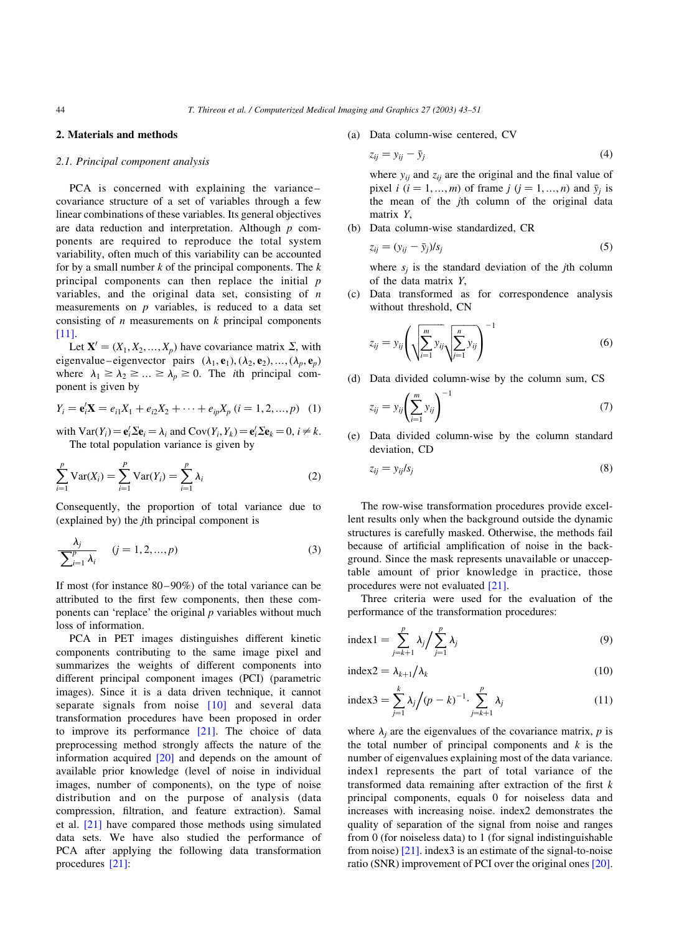## 2. Materials and methods

#### 2.1. Principal component analysis

PCA is concerned with explaining the variance– covariance structure of a set of variables through a few linear combinations of these variables. Its general objectives are data reduction and interpretation. Although  $p$  components are required to reproduce the total system variability, often much of this variability can be accounted for by a small number  $k$  of the principal components. The  $k$ principal components can then replace the initial  $p$ variables, and the original data set, consisting of  $n$ measurements on  $p$  variables, is reduced to a data set consisting of  $n$  measurements on  $k$  principal components [\[11\]](#page-7-0).

Let  $X' = (X_1, X_2, ..., X_n)$  have covariance matrix  $\Sigma$ , with eigenvalue–eigenvector pairs  $(\lambda_1, \mathbf{e}_1), (\lambda_2, \mathbf{e}_2), ..., (\lambda_p, \mathbf{e}_p)$ where  $\lambda_1 \geq \lambda_2 \geq \ldots \geq \lambda_p \geq 0$ . The *i*th principal component is given by

$$
Y_i = \mathbf{e}_i' \mathbf{X} = e_{i1} X_1 + e_{i2} X_2 + \dots + e_{ip} X_p \ (i = 1, 2, ..., p) \ (1)
$$

with  $\text{Var}(Y_i) = \mathbf{e}_i' \Sigma \mathbf{e}_i = \lambda_i$  and  $\text{Cov}(Y_i, Y_k) = \mathbf{e}_i' \Sigma \mathbf{e}_k = 0, i \neq k$ . The total population variance is given by

$$
\sum_{i=1}^{p} \text{Var}(X_i) = \sum_{i=1}^{p} \text{Var}(Y_i) = \sum_{i=1}^{p} \lambda_i
$$
 (2)

Consequently, the proportion of total variance due to (explained by) the jth principal component is

$$
\frac{\lambda_j}{\sum_{i=1}^p \lambda_i} \quad (j=1,2,\dots,p) \tag{3}
$$

If most (for instance 80–90%) of the total variance can be attributed to the first few components, then these components can 'replace' the original  $p$  variables without much loss of information.

PCA in PET images distinguishes different kinetic components contributing to the same image pixel and summarizes the weights of different components into different principal component images (PCI) (parametric images). Since it is a data driven technique, it cannot separate signals from noise [\[10\]](#page-7-0) and several data transformation procedures have been proposed in order to improve its performance  $[21]$ . The choice of data preprocessing method strongly affects the nature of the information acquired [\[20\]](#page-7-0) and depends on the amount of available prior knowledge (level of noise in individual images, number of components), on the type of noise distribution and on the purpose of analysis (data compression, filtration, and feature extraction). Samal et al. [\[21\]](#page-7-0) have compared those methods using simulated data sets. We have also studied the performance of PCA after applying the following data transformation procedures [\[21\]](#page-7-0):

(a) Data column-wise centered, CV

$$
z_{ij} = y_{ij} - \bar{y}_j \tag{4}
$$

where  $y_{ij}$  and  $z_{ij}$  are the original and the final value of pixel  $i$   $(i = 1, ..., m)$  of frame  $j$   $(j = 1, ..., n)$  and  $\bar{y}_i$  is the mean of the jth column of the original data matrix Y,

(b) Data column-wise standardized, CR

$$
z_{ij} = (y_{ij} - \bar{y}_j)/s_j \tag{5}
$$

where  $s_i$  is the standard deviation of the *j*th column of the data matrix Y,

(c) Data transformed as for correspondence analysis without threshold, CN

$$
z_{ij} = y_{ij} \left( \sqrt{\sum_{i=1}^{m} y_{ij}} \sqrt{\sum_{j=1}^{n} y_{ij}} \right)^{-1}
$$
 (6)

(d) Data divided column-wise by the column sum, CS

$$
z_{ij} = y_{ij} \left(\sum_{i=1}^{m} y_{ij}\right)^{-1} \tag{7}
$$

(e) Data divided column-wise by the column standard deviation, CD

$$
z_{ij} = y_{ij}/s_j \tag{8}
$$

The row-wise transformation procedures provide excellent results only when the background outside the dynamic structures is carefully masked. Otherwise, the methods fail because of artificial amplification of noise in the background. Since the mask represents unavailable or unacceptable amount of prior knowledge in practice, those procedures were not evaluated [\[21\].](#page-7-0)

Three criteria were used for the evaluation of the performance of the transformation procedures:

$$
\text{index 1} = \sum_{j=k+1}^{p} \lambda_j / \sum_{j=1}^{p} \lambda_j \tag{9}
$$

$$
index2 = \lambda_{k+1} / \lambda_k \tag{10}
$$

$$
\text{index3} = \sum_{j=1}^{k} \lambda_j / (p - k)^{-1} \cdot \sum_{j=k+1}^{p} \lambda_j \tag{11}
$$

where  $\lambda_i$  are the eigenvalues of the covariance matrix, p is the total number of principal components and  $k$  is the number of eigenvalues explaining most of the data variance. index1 represents the part of total variance of the transformed data remaining after extraction of the first  $k$ principal components, equals 0 for noiseless data and increases with increasing noise. index2 demonstrates the quality of separation of the signal from noise and ranges from 0 (for noiseless data) to 1 (for signal indistinguishable from noise)  $[21]$ . index3 is an estimate of the signal-to-noise ratio (SNR) improvement of PCI over the original ones [\[20\]](#page-7-0).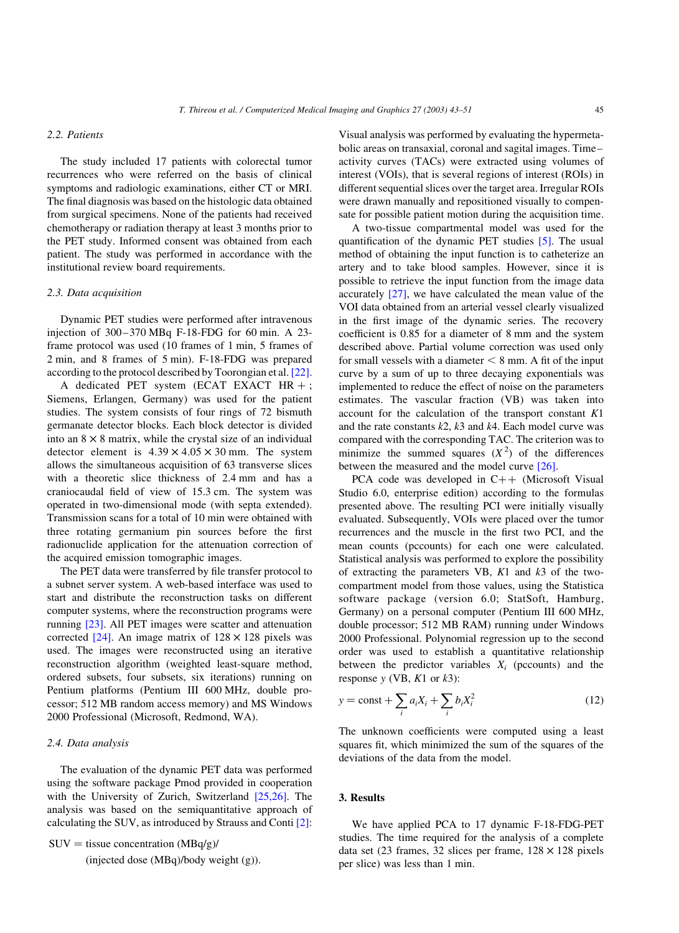## 2.2. Patients

The study included 17 patients with colorectal tumor recurrences who were referred on the basis of clinical symptoms and radiologic examinations, either CT or MRI. The final diagnosis was based on the histologic data obtained from surgical specimens. None of the patients had received chemotherapy or radiation therapy at least 3 months prior to the PET study. Informed consent was obtained from each patient. The study was performed in accordance with the institutional review board requirements.

## 2.3. Data acquisition

Dynamic PET studies were performed after intravenous injection of 300–370 MBq F-18-FDG for 60 min. A 23 frame protocol was used (10 frames of 1 min, 5 frames of 2 min, and 8 frames of 5 min). F-18-FDG was prepared according to the protocol described by Toorongian et al. [\[22\]](#page-7-0).

A dedicated PET system (ECAT EXACT  $HR +$ ; Siemens, Erlangen, Germany) was used for the patient studies. The system consists of four rings of 72 bismuth germanate detector blocks. Each block detector is divided into an  $8 \times 8$  matrix, while the crystal size of an individual detector element is  $4.39 \times 4.05 \times 30$  mm. The system allows the simultaneous acquisition of 63 transverse slices with a theoretic slice thickness of 2.4 mm and has a craniocaudal field of view of 15.3 cm. The system was operated in two-dimensional mode (with septa extended). Transmission scans for a total of 10 min were obtained with three rotating germanium pin sources before the first radionuclide application for the attenuation correction of the acquired emission tomographic images.

The PET data were transferred by file transfer protocol to a subnet server system. A web-based interface was used to start and distribute the reconstruction tasks on different computer systems, where the reconstruction programs were running [\[23\]](#page-7-0). All PET images were scatter and attenuation corrected  $[24]$ . An image matrix of  $128 \times 128$  pixels was used. The images were reconstructed using an iterative reconstruction algorithm (weighted least-square method, ordered subsets, four subsets, six iterations) running on Pentium platforms (Pentium III 600 MHz, double processor; 512 MB random access memory) and MS Windows 2000 Professional (Microsoft, Redmond, WA).

# 2.4. Data analysis

The evaluation of the dynamic PET data was performed using the software package Pmod provided in cooperation with the University of Zurich, Switzerland [\[25,26\].](#page-7-0) The analysis was based on the semiquantitative approach of calculating the SUV, as introduced by Strauss and Conti [\[2\]:](#page-6-0)

 $SUV = tissue concentration (MBq/g)/$ 

 $(njected dose (MBq) / body weight (g)).$ 

Visual analysis was performed by evaluating the hypermetabolic areas on transaxial, coronal and sagital images. Time– activity curves (TACs) were extracted using volumes of interest (VOIs), that is several regions of interest (ROIs) in different sequential slices over the target area. Irregular ROIs were drawn manually and repositioned visually to compensate for possible patient motion during the acquisition time.

A two-tissue compartmental model was used for the quantification of the dynamic PET studies [\[5\]](#page-6-0). The usual method of obtaining the input function is to catheterize an artery and to take blood samples. However, since it is possible to retrieve the input function from the image data accurately [\[27\],](#page-7-0) we have calculated the mean value of the VOI data obtained from an arterial vessel clearly visualized in the first image of the dynamic series. The recovery coefficient is 0.85 for a diameter of 8 mm and the system described above. Partial volume correction was used only for small vessels with a diameter  $\leq 8$  mm. A fit of the input curve by a sum of up to three decaying exponentials was implemented to reduce the effect of noise on the parameters estimates. The vascular fraction (VB) was taken into account for the calculation of the transport constant K1 and the rate constants  $k2$ ,  $k3$  and  $k4$ . Each model curve was compared with the corresponding TAC. The criterion was to minimize the summed squares  $(X^2)$  of the differences between the measured and the model curve [\[26\]](#page-7-0).

PCA code was developed in  $C++$  (Microsoft Visual Studio 6.0, enterprise edition) according to the formulas presented above. The resulting PCI were initially visually evaluated. Subsequently, VOIs were placed over the tumor recurrences and the muscle in the first two PCI, and the mean counts (pccounts) for each one were calculated. Statistical analysis was performed to explore the possibility of extracting the parameters VB,  $K1$  and  $k3$  of the twocompartment model from those values, using the Statistica software package (version 6.0; StatSoft, Hamburg, Germany) on a personal computer (Pentium III 600 MHz, double processor; 512 MB RAM) running under Windows 2000 Professional. Polynomial regression up to the second order was used to establish a quantitative relationship between the predictor variables  $X_i$  (pccounts) and the response y (VB,  $K1$  or  $k3$ ):

$$
y = \text{const} + \sum_{i} a_i X_i + \sum_{i} b_i X_i^2 \tag{12}
$$

The unknown coefficients were computed using a least squares fit, which minimized the sum of the squares of the deviations of the data from the model.

## 3. Results

We have applied PCA to 17 dynamic F-18-FDG-PET studies. The time required for the analysis of a complete data set (23 frames, 32 slices per frame,  $128 \times 128$  pixels per slice) was less than 1 min.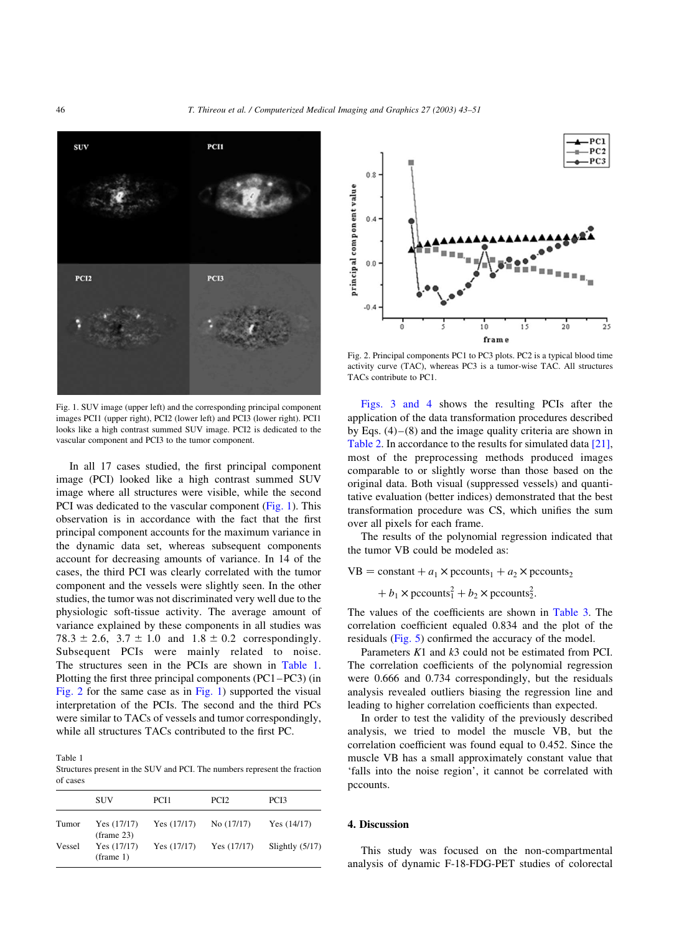

Fig. 1. SUV image (upper left) and the corresponding principal component images PCI1 (upper right), PCI2 (lower left) and PCI3 (lower right). PCI1 looks like a high contrast summed SUV image. PCI2 is dedicated to the vascular component and PCI3 to the tumor component.

In all 17 cases studied, the first principal component image (PCI) looked like a high contrast summed SUV image where all structures were visible, while the second PCI was dedicated to the vascular component (Fig. 1). This observation is in accordance with the fact that the first principal component accounts for the maximum variance in the dynamic data set, whereas subsequent components account for decreasing amounts of variance. In 14 of the cases, the third PCI was clearly correlated with the tumor component and the vessels were slightly seen. In the other studies, the tumor was not discriminated very well due to the physiologic soft-tissue activity. The average amount of variance explained by these components in all studies was 78.3  $\pm$  2.6, 3.7  $\pm$  1.0 and 1.8  $\pm$  0.2 correspondingly. Subsequent PCIs were mainly related to noise. The structures seen in the PCIs are shown in Table 1. Plotting the first three principal components (PC1–PC3) (in Fig. 2 for the same case as in Fig. 1) supported the visual interpretation of the PCIs. The second and the third PCs were similar to TACs of vessels and tumor correspondingly, while all structures TACs contributed to the first PC.

Table 1

Structures present in the SUV and PCI. The numbers represent the fraction of cases

|        | <b>SUV</b>                            | PCI <sub>1</sub> | PC <sub>12</sub> | PC <sub>13</sub>  |
|--------|---------------------------------------|------------------|------------------|-------------------|
| Tumor  | Yes $(17/17)$<br>$(\text{frame } 23)$ | Yes $(17/17)$    | No $(17/17)$     | Yes $(14/17)$     |
| Vessel | Yes $(17/17)$<br>$(\text{frame } 1)$  | Yes $(17/17)$    | Yes $(17/17)$    | Slightly $(5/17)$ |



Fig. 2. Principal components PC1 to PC3 plots. PC2 is a typical blood time activity curve (TAC), whereas PC3 is a tumor-wise TAC. All structures TACs contribute to PC1.

[Figs. 3 and 4](#page-4-0) shows the resulting PCIs after the application of the data transformation procedures described by Eqs.  $(4)$ – $(8)$  and the image quality criteria are shown in [Table 2.](#page-4-0) In accordance to the results for simulated data [\[21\]](#page-7-0), most of the preprocessing methods produced images comparable to or slightly worse than those based on the original data. Both visual (suppressed vessels) and quantitative evaluation (better indices) demonstrated that the best transformation procedure was CS, which unifies the sum over all pixels for each frame.

The results of the polynomial regression indicated that the tumor VB could be modeled as:

 $VB = constant + a_1 \times pccounts_1 + a_2 \times pccounts_2$ 

+  $b_1 \times$  pccounts<sup>2</sup> +  $b_2 \times$  pccounts<sup>2</sup>.

The values of the coefficients are shown in [Table 3.](#page-5-0) The correlation coefficient equaled 0.834 and the plot of the residuals ([Fig. 5](#page-5-0)) confirmed the accuracy of the model.

Parameters K1 and  $k3$  could not be estimated from PCI. The correlation coefficients of the polynomial regression were 0.666 and 0.734 correspondingly, but the residuals analysis revealed outliers biasing the regression line and leading to higher correlation coefficients than expected.

In order to test the validity of the previously described analysis, we tried to model the muscle VB, but the correlation coefficient was found equal to 0.452. Since the muscle VB has a small approximately constant value that 'falls into the noise region', it cannot be correlated with pccounts.

#### 4. Discussion

This study was focused on the non-compartmental analysis of dynamic F-18-FDG-PET studies of colorectal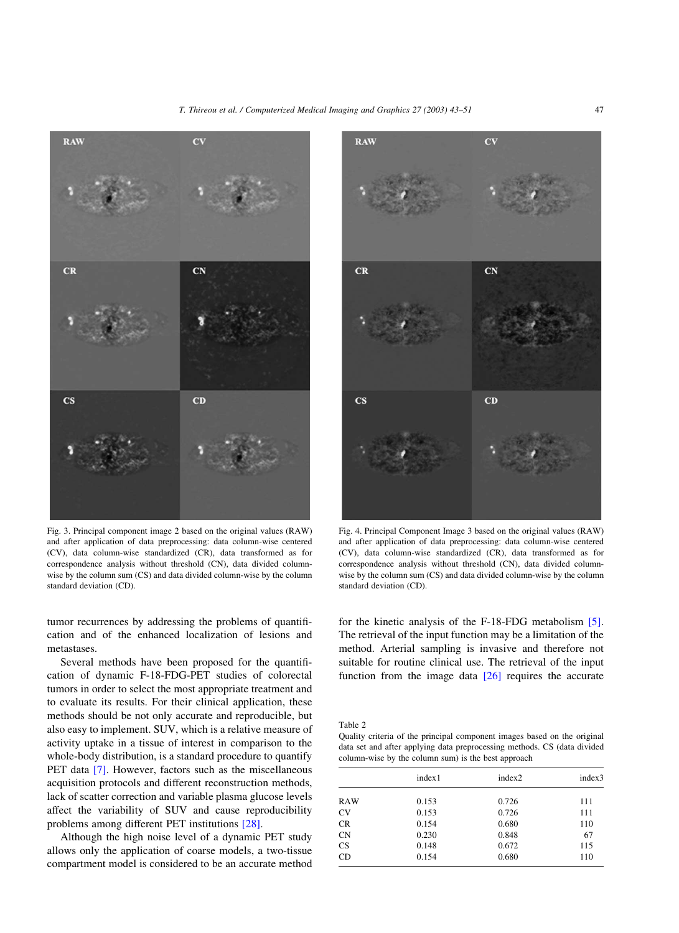<span id="page-4-0"></span>

Fig. 3. Principal component image 2 based on the original values (RAW) and after application of data preprocessing: data column-wise centered (CV), data column-wise standardized (CR), data transformed as for correspondence analysis without threshold (CN), data divided columnwise by the column sum (CS) and data divided column-wise by the column standard deviation (CD).

tumor recurrences by addressing the problems of quantification and of the enhanced localization of lesions and metastases.

Several methods have been proposed for the quantification of dynamic F-18-FDG-PET studies of colorectal tumors in order to select the most appropriate treatment and to evaluate its results. For their clinical application, these methods should be not only accurate and reproducible, but also easy to implement. SUV, which is a relative measure of activity uptake in a tissue of interest in comparison to the whole-body distribution, is a standard procedure to quantify PET data [\[7\].](#page-7-0) However, factors such as the miscellaneous acquisition protocols and different reconstruction methods, lack of scatter correction and variable plasma glucose levels affect the variability of SUV and cause reproducibility problems among different PET institutions [\[28\].](#page-7-0)

Although the high noise level of a dynamic PET study allows only the application of coarse models, a two-tissue compartment model is considered to be an accurate method



Fig. 4. Principal Component Image 3 based on the original values (RAW) and after application of data preprocessing: data column-wise centered (CV), data column-wise standardized (CR), data transformed as for correspondence analysis without threshold (CN), data divided columnwise by the column sum (CS) and data divided column-wise by the column standard deviation (CD).

for the kinetic analysis of the F-18-FDG metabolism [\[5\]](#page-6-0). The retrieval of the input function may be a limitation of the method. Arterial sampling is invasive and therefore not suitable for routine clinical use. The retrieval of the input function from the image data  $[26]$  requires the accurate

Table 2

Quality criteria of the principal component images based on the original data set and after applying data preprocessing methods. CS (data divided column-wise by the column sum) is the best approach

|            | index1 | index2 | index3 |
|------------|--------|--------|--------|
| <b>RAW</b> | 0.153  | 0.726  | 111    |
| <b>CV</b>  | 0.153  | 0.726  | 111    |
| <b>CR</b>  | 0.154  | 0.680  | 110    |
| <b>CN</b>  | 0.230  | 0.848  | 67     |
| CS         | 0.148  | 0.672  | 115    |
| CD         | 0.154  | 0.680  | 110    |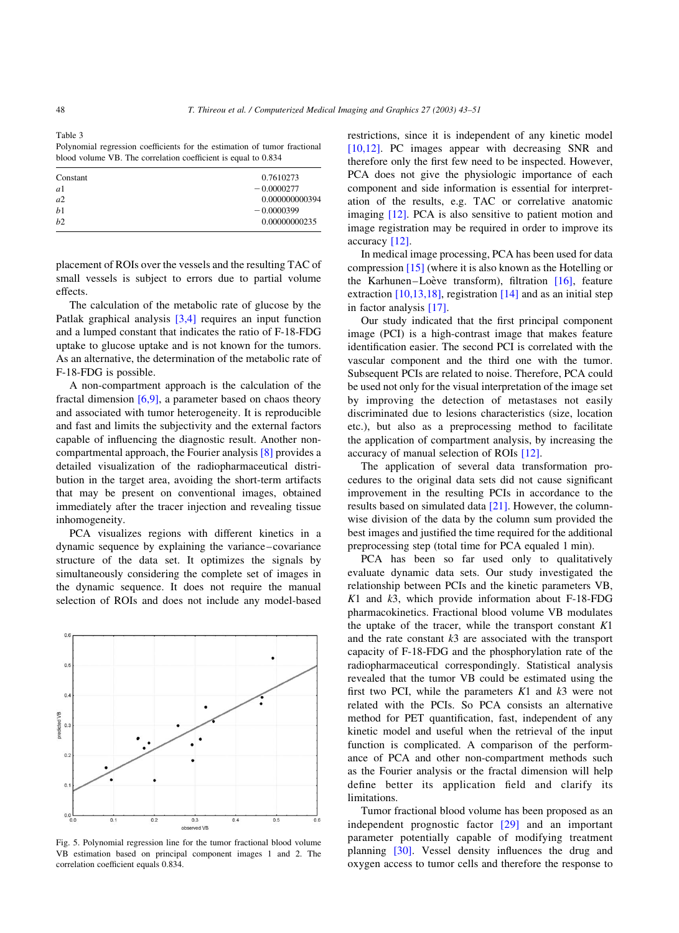<span id="page-5-0"></span>Table 3 Polynomial regression coefficients for the estimation of tumor fractional blood volume VB. The correlation coefficient is equal to 0.834

| Constant       | 0.7610273      |
|----------------|----------------|
| <sub>a</sub> 1 | $-0.0000277$   |
| a2             | 0.000000000394 |
| b <sub>1</sub> | $-0.0000399$   |
| h2             | 0.00000000235  |

placement of ROIs over the vessels and the resulting TAC of small vessels is subject to errors due to partial volume effects.

The calculation of the metabolic rate of glucose by the Patlak graphical analysis [\[3,4\]](#page-6-0) requires an input function and a lumped constant that indicates the ratio of F-18-FDG uptake to glucose uptake and is not known for the tumors. As an alternative, the determination of the metabolic rate of F-18-FDG is possible.

A non-compartment approach is the calculation of the fractal dimension  $[6,9]$ , a parameter based on chaos theory and associated with tumor heterogeneity. It is reproducible and fast and limits the subjectivity and the external factors capable of influencing the diagnostic result. Another noncompartmental approach, the Fourier analysis [\[8\]](#page-7-0) provides a detailed visualization of the radiopharmaceutical distribution in the target area, avoiding the short-term artifacts that may be present on conventional images, obtained immediately after the tracer injection and revealing tissue inhomogeneity.

PCA visualizes regions with different kinetics in a dynamic sequence by explaining the variance–covariance structure of the data set. It optimizes the signals by simultaneously considering the complete set of images in the dynamic sequence. It does not require the manual selection of ROIs and does not include any model-based



Fig. 5. Polynomial regression line for the tumor fractional blood volume VB estimation based on principal component images 1 and 2. The correlation coefficient equals 0.834.

restrictions, since it is independent of any kinetic model [\[10,12\].](#page-7-0) PC images appear with decreasing SNR and therefore only the first few need to be inspected. However, PCA does not give the physiologic importance of each component and side information is essential for interpretation of the results, e.g. TAC or correlative anatomic imaging [\[12\].](#page-7-0) PCA is also sensitive to patient motion and image registration may be required in order to improve its accuracy [\[12\].](#page-7-0)

In medical image processing, PCA has been used for data compression [\[15\]](#page-7-0) (where it is also known as the Hotelling or the Karhunen–Loève transform), filtration  $[16]$ , feature extraction  $[10,13,18]$ , registration  $[14]$  and as an initial step in factor analysis [\[17\].](#page-7-0)

Our study indicated that the first principal component image (PCI) is a high-contrast image that makes feature identification easier. The second PCI is correlated with the vascular component and the third one with the tumor. Subsequent PCIs are related to noise. Therefore, PCA could be used not only for the visual interpretation of the image set by improving the detection of metastases not easily discriminated due to lesions characteristics (size, location etc.), but also as a preprocessing method to facilitate the application of compartment analysis, by increasing the accuracy of manual selection of ROIs [\[12\].](#page-7-0)

The application of several data transformation procedures to the original data sets did not cause significant improvement in the resulting PCIs in accordance to the results based on simulated data [\[21\].](#page-7-0) However, the columnwise division of the data by the column sum provided the best images and justified the time required for the additional preprocessing step (total time for PCA equaled 1 min).

PCA has been so far used only to qualitatively evaluate dynamic data sets. Our study investigated the relationship between PCIs and the kinetic parameters VB,  $K1$  and  $k3$ , which provide information about F-18-FDG pharmacokinetics. Fractional blood volume VB modulates the uptake of the tracer, while the transport constant  $K1$ and the rate constant  $k3$  are associated with the transport capacity of F-18-FDG and the phosphorylation rate of the radiopharmaceutical correspondingly. Statistical analysis revealed that the tumor VB could be estimated using the first two PCI, while the parameters  $K1$  and  $k3$  were not related with the PCIs. So PCA consists an alternative method for PET quantification, fast, independent of any kinetic model and useful when the retrieval of the input function is complicated. A comparison of the performance of PCA and other non-compartment methods such as the Fourier analysis or the fractal dimension will help define better its application field and clarify its limitations.

Tumor fractional blood volume has been proposed as an independent prognostic factor [\[29\]](#page-7-0) and an important parameter potentially capable of modifying treatment planning [\[30\].](#page-7-0) Vessel density influences the drug and oxygen access to tumor cells and therefore the response to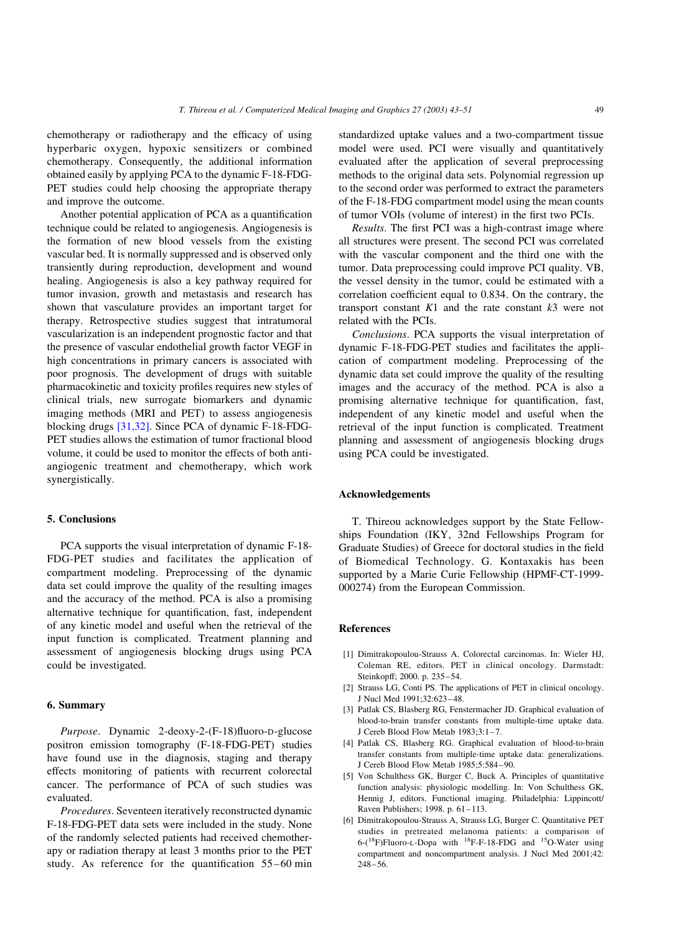<span id="page-6-0"></span>chemotherapy or radiotherapy and the efficacy of using hyperbaric oxygen, hypoxic sensitizers or combined chemotherapy. Consequently, the additional information obtained easily by applying PCA to the dynamic F-18-FDG-PET studies could help choosing the appropriate therapy and improve the outcome.

Another potential application of PCA as a quantification technique could be related to angiogenesis. Angiogenesis is the formation of new blood vessels from the existing vascular bed. It is normally suppressed and is observed only transiently during reproduction, development and wound healing. Angiogenesis is also a key pathway required for tumor invasion, growth and metastasis and research has shown that vasculature provides an important target for therapy. Retrospective studies suggest that intratumoral vascularization is an independent prognostic factor and that the presence of vascular endothelial growth factor VEGF in high concentrations in primary cancers is associated with poor prognosis. The development of drugs with suitable pharmacokinetic and toxicity profiles requires new styles of clinical trials, new surrogate biomarkers and dynamic imaging methods (MRI and PET) to assess angiogenesis blocking drugs [\[31,32\].](#page-7-0) Since PCA of dynamic F-18-FDG-PET studies allows the estimation of tumor fractional blood volume, it could be used to monitor the effects of both antiangiogenic treatment and chemotherapy, which work synergistically.

# 5. Conclusions

PCA supports the visual interpretation of dynamic F-18- FDG-PET studies and facilitates the application of compartment modeling. Preprocessing of the dynamic data set could improve the quality of the resulting images and the accuracy of the method. PCA is also a promising alternative technique for quantification, fast, independent of any kinetic model and useful when the retrieval of the input function is complicated. Treatment planning and assessment of angiogenesis blocking drugs using PCA could be investigated.

#### 6. Summary

Purpose. Dynamic 2-deoxy-2-(F-18)fluoro-D-glucose positron emission tomography (F-18-FDG-PET) studies have found use in the diagnosis, staging and therapy effects monitoring of patients with recurrent colorectal cancer. The performance of PCA of such studies was evaluated.

Procedures. Seventeen iteratively reconstructed dynamic F-18-FDG-PET data sets were included in the study. None of the randomly selected patients had received chemotherapy or radiation therapy at least 3 months prior to the PET study. As reference for the quantification 55–60 min

standardized uptake values and a two-compartment tissue model were used. PCI were visually and quantitatively evaluated after the application of several preprocessing methods to the original data sets. Polynomial regression up to the second order was performed to extract the parameters of the F-18-FDG compartment model using the mean counts of tumor VOIs (volume of interest) in the first two PCIs.

Results. The first PCI was a high-contrast image where all structures were present. The second PCI was correlated with the vascular component and the third one with the tumor. Data preprocessing could improve PCI quality. VB, the vessel density in the tumor, could be estimated with a correlation coefficient equal to 0.834. On the contrary, the transport constant  $K1$  and the rate constant  $k3$  were not related with the PCIs.

Conclusions. PCA supports the visual interpretation of dynamic F-18-FDG-PET studies and facilitates the application of compartment modeling. Preprocessing of the dynamic data set could improve the quality of the resulting images and the accuracy of the method. PCA is also a promising alternative technique for quantification, fast, independent of any kinetic model and useful when the retrieval of the input function is complicated. Treatment planning and assessment of angiogenesis blocking drugs using PCA could be investigated.

## Acknowledgements

T. Thireou acknowledges support by the State Fellowships Foundation (IKY, 32nd Fellowships Program for Graduate Studies) of Greece for doctoral studies in the field of Biomedical Technology. G. Kontaxakis has been supported by a Marie Curie Fellowship (HPMF-CT-1999- 000274) from the European Commission.

# **References**

- [1] Dimitrakopoulou-Strauss A. Colorectal carcinomas. In: Wieler HJ, Coleman RE, editors. PET in clinical oncology. Darmstadt: Steinkopff; 2000. p. 235–54.
- [2] Strauss LG, Conti PS. The applications of PET in clinical oncology. J Nucl Med 1991;32:623–48.
- [3] Patlak CS, Blasberg RG, Fenstermacher JD. Graphical evaluation of blood-to-brain transfer constants from multiple-time uptake data. J Cereb Blood Flow Metab 1983;3:1–7.
- [4] Patlak CS, Blasberg RG. Graphical evaluation of blood-to-brain transfer constants from multiple-time uptake data: generalizations. J Cereb Blood Flow Metab 1985;5:584–90.
- [5] Von Schulthess GK, Burger C, Buck A. Principles of quantitative function analysis: physiologic modelling. In: Von Schulthess GK, Hennig J, editors. Functional imaging. Philadelphia: Lippincott/ Raven Publishers; 1998. p. 61–113.
- [6] Dimitrakopoulou-Strauss A, Strauss LG, Burger C. Quantitative PET studies in pretreated melanoma patients: a comparison of 6-( $^{18}$ F)Fluoro-L-Dopa with  $^{18}$ F-F-18-FDG and  $^{15}$ O-Water using compartment and noncompartment analysis. J Nucl Med 2001;42: 248–56.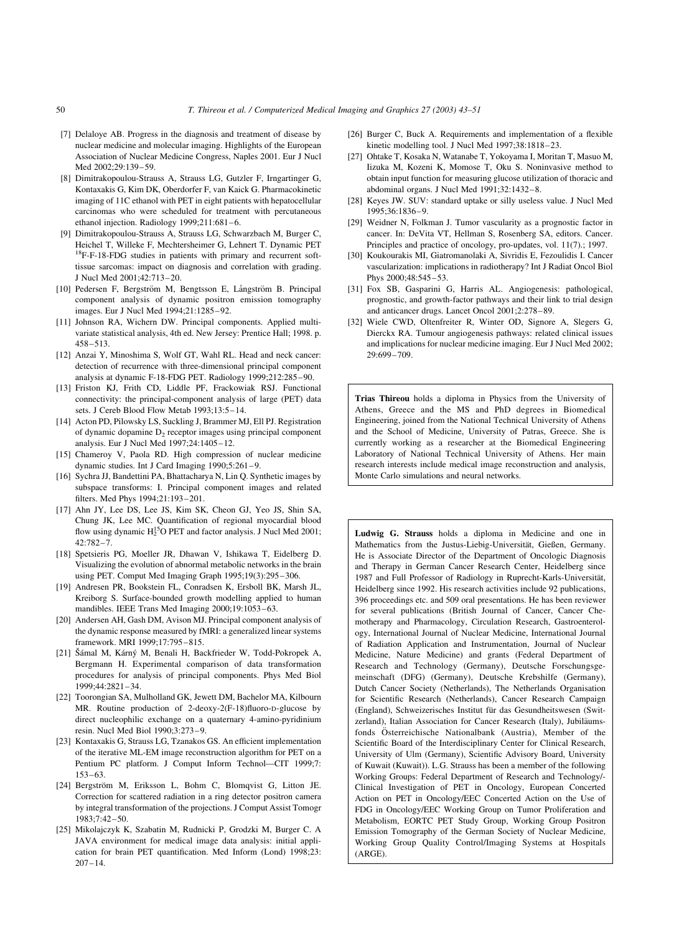- [7] Delaloye AB. Progress in the diagnosis and treatment of disease by nuclear medicine and molecular imaging. Highlights of the European Association of Nuclear Medicine Congress, Naples 2001. Eur J Nucl Med 2002;29:139–59.
- [8] Dimitrakopoulou-Strauss A, Strauss LG, Gutzler F, Irngartinger G, Kontaxakis G, Kim DK, Oberdorfer F, van Kaick G. Pharmacokinetic imaging of 11C ethanol with PET in eight patients with hepatocellular carcinomas who were scheduled for treatment with percutaneous ethanol injection. Radiology 1999;211:681–6.
- [9] Dimitrakopoulou-Strauss A, Strauss LG, Schwarzbach M, Burger C, Heichel T, Willeke F, Mechtersheimer G, Lehnert T. Dynamic PET <sup>18</sup>F-F-18-FDG studies in patients with primary and recurrent softtissue sarcomas: impact on diagnosis and correlation with grading. J Nucl Med 2001;42:713–20.
- [10] Pedersen F, Bergström M, Bengtsson E, Långström B. Principal component analysis of dynamic positron emission tomography images. Eur J Nucl Med 1994;21:1285–92.
- [11] Johnson RA, Wichern DW. Principal components. Applied multivariate statistical analysis, 4th ed. New Jersey: Prentice Hall; 1998. p. 458–513.
- [12] Anzai Y, Minoshima S, Wolf GT, Wahl RL. Head and neck cancer: detection of recurrence with three-dimensional principal component analysis at dynamic F-18-FDG PET. Radiology 1999;212:285–90.
- [13] Friston KJ, Frith CD, Liddle PF, Frackowiak RSJ. Functional connectivity: the principal-component analysis of large (PET) data sets. J Cereb Blood Flow Metab 1993;13:5–14.
- [14] Acton PD, Pilowsky LS, Suckling J, Brammer MJ, Ell PJ. Registration of dynamic dopamine  $D<sub>2</sub>$  receptor images using principal component analysis. Eur J Nucl Med 1997;24:1405–12.
- [15] Chameroy V, Paola RD. High compression of nuclear medicine dynamic studies. Int J Card Imaging 1990;5:261–9.
- [16] Sychra JJ, Bandettini PA, Bhattacharya N, Lin Q. Synthetic images by subspace transforms: I. Principal component images and related filters. Med Phys 1994;21:193–201.
- [17] Ahn JY, Lee DS, Lee JS, Kim SK, Cheon GJ, Yeo JS, Shin SA, Chung JK, Lee MC. Quantification of regional myocardial blood flow using dynamic  $H_2^{15}O$  PET and factor analysis. J Nucl Med 2001;  $42.782 - 7$
- [18] Spetsieris PG, Moeller JR, Dhawan V, Ishikawa T, Eidelberg D. Visualizing the evolution of abnormal metabolic networks in the brain using PET. Comput Med Imaging Graph 1995;19(3):295–306.
- [19] Andresen PR, Bookstein FL, Conradsen K, Ersboll BK, Marsh JL, Kreiborg S. Surface-bounded growth modelling applied to human mandibles. IEEE Trans Med Imaging 2000;19:1053–63.
- [20] Andersen AH, Gash DM, Avison MJ. Principal component analysis of the dynamic response measured by fMRI: a generalized linear systems framework. MRI 1999;17:795–815.
- [21] Šámal M, Kárný M, Benali H, Backfrieder W, Todd-Pokropek A, Bergmann H. Experimental comparison of data transformation procedures for analysis of principal components. Phys Med Biol 1999;44:2821–34.
- [22] Toorongian SA, Mulholland GK, Jewett DM, Bachelor MA, Kilbourn MR. Routine production of 2-deoxy-2(F-18)fluoro-D-glucose by direct nucleophilic exchange on a quaternary 4-amino-pyridinium resin. Nucl Med Biol 1990;3:273–9.
- [23] Kontaxakis G, Strauss LG, Tzanakos GS. An efficient implementation of the iterative ML-EM image reconstruction algorithm for PET on a Pentium PC platform. J Comput Inform Technol—CIT 1999;7: 153–63.
- [24] Bergström M, Eriksson L, Bohm C, Blomqvist G, Litton JE. Correction for scattered radiation in a ring detector positron camera by integral transformation of the projections. J Comput Assist Tomogr 1983;7:42–50.
- [25] Mikolajczyk K, Szabatin M, Rudnicki P, Grodzki M, Burger C. A JAVA environment for medical image data analysis: initial application for brain PET quantification. Med Inform (Lond) 1998;23: 207–14.
- [26] Burger C, Buck A. Requirements and implementation of a flexible kinetic modelling tool. J Nucl Med 1997;38:1818–23.
- [27] Ohtake T, Kosaka N, Watanabe T, Yokoyama I, Moritan T, Masuo M, Iizuka M, Kozeni K, Momose T, Oku S. Noninvasive method to obtain input function for measuring glucose utilization of thoracic and abdominal organs. J Nucl Med 1991;32:1432–8.
- [28] Keyes JW. SUV: standard uptake or silly useless value. J Nucl Med 1995;36:1836–9.
- [29] Weidner N, Folkman J. Tumor vascularity as a prognostic factor in cancer. In: DeVita VT, Hellman S, Rosenberg SA, editors. Cancer. Principles and practice of oncology, pro-updates, vol. 11(7).; 1997.
- [30] Koukourakis MI, Giatromanolaki A, Sivridis E, Fezoulidis I. Cancer vascularization: implications in radiotherapy? Int J Radiat Oncol Biol Phys 2000;48:545–53.
- [31] Fox SB, Gasparini G, Harris AL. Angiogenesis: pathological, prognostic, and growth-factor pathways and their link to trial design and anticancer drugs. Lancet Oncol 2001;2:278–89.
- [32] Wiele CWD, Oltenfreiter R, Winter OD, Signore A, Slegers G, Dierckx RA. Tumour angiogenesis pathways: related clinical issues and implications for nuclear medicine imaging. Eur J Nucl Med 2002; 29:699–709.

Trias Thireou holds a diploma in Physics from the University of Athens, Greece and the MS and PhD degrees in Biomedical Engineering, joined from the National Technical University of Athens and the School of Medicine, University of Patras, Greece. She is currently working as a researcher at the Biomedical Engineering Laboratory of National Technical University of Athens. Her main research interests include medical image reconstruction and analysis, Monte Carlo simulations and neural networks.

Ludwig G. Strauss holds a diploma in Medicine and one in Mathematics from the Justus-Liebig-Universität, Gießen, Germany. He is Associate Director of the Department of Oncologic Diagnosis and Therapy in German Cancer Research Center, Heidelberg since 1987 and Full Professor of Radiology in Ruprecht-Karls-Universität, Heidelberg since 1992. His research activities include 92 publications, 396 proceedings etc. and 509 oral presentations. He has been reviewer for several publications (British Journal of Cancer, Cancer Chemotherapy and Pharmacology, Circulation Research, Gastroenterology, International Journal of Nuclear Medicine, International Journal of Radiation Application and Instrumentation, Journal of Nuclear Medicine, Nature Medicine) and grants (Federal Department of Research and Technology (Germany), Deutsche Forschungsgemeinschaft (DFG) (Germany), Deutsche Krebshilfe (Germany), Dutch Cancer Society (Netherlands), The Netherlands Organisation for Scientific Research (Netherlands), Cancer Research Campaign (England), Schweizerisches Institut für das Gesundheitswesen (Switzerland), Italian Association for Cancer Research (Italy), Jubiläumsfonds Österreichische Nationalbank (Austria), Member of the Scientific Board of the Interdisciplinary Center for Clinical Research, University of Ulm (Germany), Scientific Advisory Board, University of Kuwait (Kuwait)). L.G. Strauss has been a member of the following Working Groups: Federal Department of Research and Technology/- Clinical Investigation of PET in Oncology, European Concerted Action on PET in Oncology/EEC Concerted Action on the Use of FDG in Oncology/EEC Working Group on Tumor Proliferation and Metabolism, EORTC PET Study Group, Working Group Positron Emission Tomography of the German Society of Nuclear Medicine, Working Group Quality Control/Imaging Systems at Hospitals (ARGE).

<span id="page-7-0"></span>